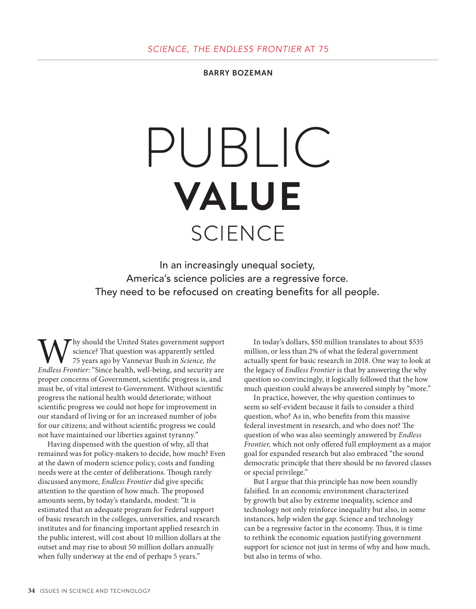BARRY BOZEMAN

# PUBLIC **VALUE SCIENCE**

In an increasingly unequal society, America's science policies are a regressive force. They need to be refocused on creating benefits for all people.

Why should the United States government support science? That question was apparently settled 75 years ago by Vannevar Bush in *Science, the Endless Frontier*: "Since health, well-being, and security are science? That question was apparently settled 75 years ago by Vannevar Bush in *Science, the*  proper concerns of Government, scientific progress is, and must be, of vital interest to Government. Without scientific progress the national health would deteriorate; without scientific progress we could not hope for improvement in our standard of living or for an increased number of jobs for our citizens; and without scientific progress we could not have maintained our liberties against tyranny."

Having dispensed with the question of why, all that remained was for policy-makers to decide, how much? Even at the dawn of modern science policy, costs and funding needs were at the center of deliberations. Though rarely discussed anymore, *Endless Frontier* did give specific attention to the question of how much. The proposed amounts seem, by today's standards, modest: "It is estimated that an adequate program for Federal support of basic research in the colleges, universities, and research institutes and for financing important applied research in the public interest, will cost about 10 million dollars at the outset and may rise to about 50 million dollars annually when fully underway at the end of perhaps 5 years."

In today's dollars, \$50 million translates to about \$535 million, or less than 2% of what the federal government actually spent for basic research in 2018. One way to look at the legacy of *Endless Frontier* is that by answering the why question so convincingly, it logically followed that the how much question could always be answered simply by "more."

In practice, however, the why question continues to seem so self-evident because it fails to consider a third question, who? As in, who benefits from this massive federal investment in research, and who does not? The question of who was also seemingly answered by *Endless Frontier,* which not only offered full employment as a major goal for expanded research but also embraced "the sound democratic principle that there should be no favored classes or special privilege."

But I argue that this principle has now been soundly falsified. In an economic environment characterized by growth but also by extreme inequality, science and technology not only reinforce inequality but also, in some instances, help widen the gap. Science and technology can be a regressive factor in the economy. Thus, it is time to rethink the economic equation justifying government support for science not just in terms of why and how much, but also in terms of who.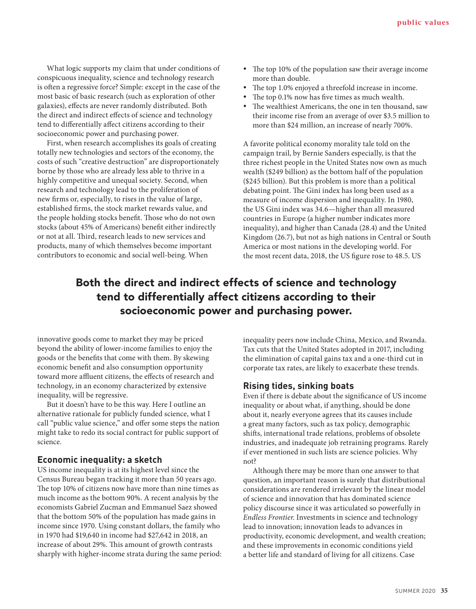What logic supports my claim that under conditions of conspicuous inequality, science and technology research is often a regressive force? Simple: except in the case of the most basic of basic research (such as exploration of other galaxies), effects are never randomly distributed. Both the direct and indirect effects of science and technology tend to differentially affect citizens according to their socioeconomic power and purchasing power.

First, when research accomplishes its goals of creating totally new technologies and sectors of the economy, the costs of such "creative destruction" are disproportionately borne by those who are already less able to thrive in a highly competitive and unequal society. Second, when research and technology lead to the proliferation of new firms or, especially, to rises in the value of large, established firms, the stock market rewards value, and the people holding stocks benefit. Those who do not own stocks (about 45% of Americans) benefit either indirectly or not at all. Third, research leads to new services and products, many of which themselves become important contributors to economic and social well-being. When

- The top 10% of the population saw their average income more than double.
- The top 1.0% enjoyed a threefold increase in income.
- The top 0.1% now has five times as much wealth.
- The wealthiest Americans, the one in ten thousand, saw their income rise from an average of over \$3.5 million to more than \$24 million, an increase of nearly 700%.

A favorite political economy morality tale told on the campaign trail, by Bernie Sanders especially, is that the three richest people in the United States now own as much wealth (\$249 billion) as the bottom half of the population (\$245 billion). But this problem is more than a political debating point. The Gini index has long been used as a measure of income dispersion and inequality. In 1980, the US Gini index was 34.6—higher than all measured countries in Europe (a higher number indicates more inequality), and higher than Canada (28.4) and the United Kingdom (26.7), but not as high nations in Central or South America or most nations in the developing world. For the most recent data, 2018, the US figure rose to 48.5. US

# Both the direct and indirect effects of science and technology tend to differentially affect citizens according to their socioeconomic power and purchasing power.

innovative goods come to market they may be priced beyond the ability of lower-income families to enjoy the goods or the benefits that come with them. By skewing economic benefit and also consumption opportunity toward more affluent citizens, the effects of research and technology, in an economy characterized by extensive inequality, will be regressive.

But it doesn't have to be this way. Here I outline an alternative rationale for publicly funded science, what I call "public value science," and offer some steps the nation might take to redo its social contract for public support of science.

#### **Economic inequality: a sketch**

US income inequality is at its highest level since the Census Bureau began tracking it more than 50 years ago. The top 10% of citizens now have more than nine times as much income as the bottom 90%. A recent analysis by the economists Gabriel Zucman and Emmanuel Saez showed that the bottom 50% of the population has made gains in income since 1970. Using constant dollars, the family who in 1970 had \$19,640 in income had \$27,642 in 2018, an increase of about 29%. This amount of growth contrasts sharply with higher-income strata during the same period: inequality peers now include China, Mexico, and Rwanda. Tax cuts that the United States adopted in 2017, including the elimination of capital gains tax and a one-third cut in corporate tax rates, are likely to exacerbate these trends.

## **Rising tides, sinking boats**

Even if there is debate about the significance of US income inequality or about what, if anything, should be done about it, nearly everyone agrees that its causes include a great many factors, such as tax policy, demographic shifts, international trade relations, problems of obsolete industries, and inadequate job retraining programs. Rarely if ever mentioned in such lists are science policies. Why not?

Although there may be more than one answer to that question, an important reason is surely that distributional considerations are rendered irrelevant by the linear model of science and innovation that has dominated science policy discourse since it was articulated so powerfully in *Endless Frontier*. Investments in science and technology lead to innovation; innovation leads to advances in productivity, economic development, and wealth creation; and these improvements in economic conditions yield a better life and standard of living for all citizens. Case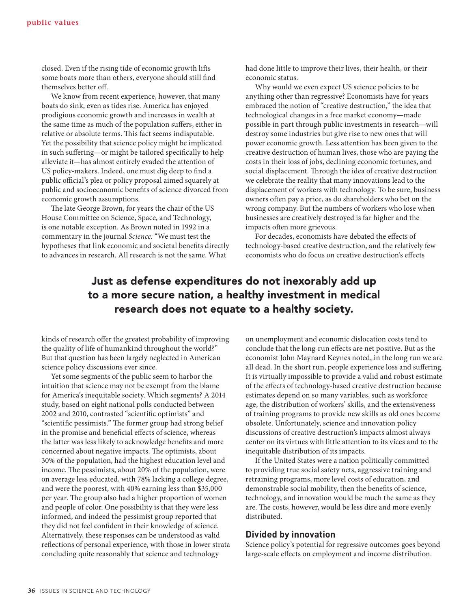closed. Even if the rising tide of economic growth lifts some boats more than others, everyone should still find themselves better off.

We know from recent experience, however, that many boats do sink, even as tides rise. America has enjoyed prodigious economic growth and increases in wealth at the same time as much of the population suffers, either in relative or absolute terms. This fact seems indisputable. Yet the possibility that science policy might be implicated in such suffering—or might be tailored specifically to help alleviate it—has almost entirely evaded the attention of US policy-makers. Indeed, one must dig deep to find a public official's plea or policy proposal aimed squarely at public and socioeconomic benefits of science divorced from economic growth assumptions.

The late George Brown, for years the chair of the US House Committee on Science, Space, and Technology, is one notable exception. As Brown noted in 1992 in a commentary in the journal *Science:* "We must test the hypotheses that link economic and societal benefits directly to advances in research. All research is not the same. What

had done little to improve their lives, their health, or their economic status.

Why would we even expect US science policies to be anything other than regressive? Economists have for years embraced the notion of "creative destruction," the idea that technological changes in a free market economy—made possible in part through public investments in research—will destroy some industries but give rise to new ones that will power economic growth. Less attention has been given to the creative destruction of human lives, those who are paying the costs in their loss of jobs, declining economic fortunes, and social displacement. Through the idea of creative destruction we celebrate the reality that many innovations lead to the displacement of workers with technology. To be sure, business owners often pay a price, as do shareholders who bet on the wrong company. But the numbers of workers who lose when businesses are creatively destroyed is far higher and the impacts often more grievous.

For decades, economists have debated the effects of technology-based creative destruction, and the relatively few economists who do focus on creative destruction's effects

## Just as defense expenditures do not inexorably add up to a more secure nation, a healthy investment in medical research does not equate to a healthy society.

kinds of research offer the greatest probability of improving the quality of life of humankind throughout the world?" But that question has been largely neglected in American science policy discussions ever since.

Yet some segments of the public seem to harbor the intuition that science may not be exempt from the blame for America's inequitable society. Which segments? A 2014 study, based on eight national polls conducted between 2002 and 2010, contrasted "scientific optimists" and "scientific pessimists." The former group had strong belief in the promise and beneficial effects of science, whereas the latter was less likely to acknowledge benefits and more concerned about negative impacts. The optimists, about 30% of the population, had the highest education level and income. The pessimists, about 20% of the population, were on average less educated, with 78% lacking a college degree, and were the poorest, with 40% earning less than \$35,000 per year. The group also had a higher proportion of women and people of color. One possibility is that they were less informed, and indeed the pessimist group reported that they did not feel confident in their knowledge of science. Alternatively, these responses can be understood as valid reflections of personal experience, with those in lower strata concluding quite reasonably that science and technology

on unemployment and economic dislocation costs tend to conclude that the long-run effects are net positive. But as the economist John Maynard Keynes noted, in the long run we are all dead. In the short run, people experience loss and suffering. It is virtually impossible to provide a valid and robust estimate of the effects of technology-based creative destruction because estimates depend on so many variables, such as workforce age, the distribution of workers' skills, and the extensiveness of training programs to provide new skills as old ones become obsolete. Unfortunately, science and innovation policy discussions of creative destruction's impacts almost always center on its virtues with little attention to its vices and to the inequitable distribution of its impacts.

If the United States were a nation politically committed to providing true social safety nets, aggressive training and retraining programs, more level costs of education, and demonstrable social mobility, then the benefits of science, technology, and innovation would be much the same as they are. The costs, however, would be less dire and more evenly distributed.

## **Divided by innovation**

Science policy's potential for regressive outcomes goes beyond large-scale effects on employment and income distribution.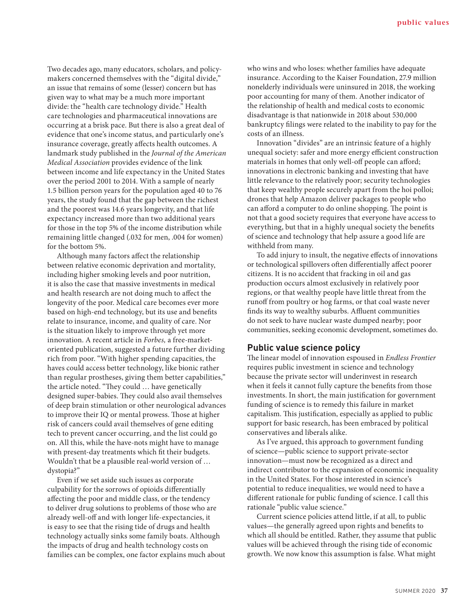Two decades ago, many educators, scholars, and policymakers concerned themselves with the "digital divide," an issue that remains of some (lesser) concern but has given way to what may be a much more important divide: the "health care technology divide." Health care technologies and pharmaceutical innovations are occurring at a brisk pace. But there is also a great deal of evidence that one's income status, and particularly one's insurance coverage, greatly affects health outcomes. A landmark study published in the *Journal of the American Medical Association* provides evidence of the link between income and life expectancy in the United States over the period 2001 to 2014. With a sample of nearly 1.5 billion person years for the population aged 40 to 76 years, the study found that the gap between the richest and the poorest was 14.6 years longevity, and that life expectancy increased more than two additional years for those in the top 5% of the income distribution while remaining little changed (.032 for men, .004 for women) for the bottom 5%.

Although many factors affect the relationship between relative economic deprivation and mortality, including higher smoking levels and poor nutrition, it is also the case that massive investments in medical and health research are not doing much to affect the longevity of the poor. Medical care becomes ever more based on high-end technology, but its use and benefits relate to insurance, income, and quality of care. Nor is the situation likely to improve through yet more innovation. A recent article in *Forbes,* a free-marketoriented publication, suggested a future further dividing rich from poor. "With higher spending capacities, the haves could access better technology, like bionic rather than regular prostheses, giving them better capabilities," the article noted. "They could … have genetically designed super-babies. They could also avail themselves of deep brain stimulation or other neurological advances to improve their IQ or mental prowess. Those at higher risk of cancers could avail themselves of gene editing tech to prevent cancer occurring, and the list could go on. All this, while the have-nots might have to manage with present-day treatments which fit their budgets. Wouldn't that be a plausible real-world version of … dystopia?"

Even if we set aside such issues as corporate culpability for the sorrows of opioids differentially affecting the poor and middle class, or the tendency to deliver drug solutions to problems of those who are already well-off and with longer life-expectancies, it is easy to see that the rising tide of drugs and health technology actually sinks some family boats. Although the impacts of drug and health technology costs on families can be complex, one factor explains much about who wins and who loses: whether families have adequate insurance. According to the Kaiser Foundation, 27.9 million nonelderly individuals were uninsured in 2018, the working poor accounting for many of them. Another indicator of the relationship of health and medical costs to economic disadvantage is that nationwide in 2018 about 530,000 bankruptcy filings were related to the inability to pay for the costs of an illness.

Innovation "divides" are an intrinsic feature of a highly unequal society: safer and more energy efficient construction materials in homes that only well-off people can afford; innovations in electronic banking and investing that have little relevance to the relatively poor; security technologies that keep wealthy people securely apart from the hoi polloi; drones that help Amazon deliver packages to people who can afford a computer to do online shopping. The point is not that a good society requires that everyone have access to everything, but that in a highly unequal society the benefits of science and technology that help assure a good life are withheld from many.

To add injury to insult, the negative effects of innovations or technological spillovers often differentially affect poorer citizens. It is no accident that fracking in oil and gas production occurs almost exclusively in relatively poor regions, or that wealthy people have little threat from the runoff from poultry or hog farms, or that coal waste never finds its way to wealthy suburbs. Affluent communities do not seek to have nuclear waste dumped nearby; poor communities, seeking economic development, sometimes do.

#### **Public value science policy**

The linear model of innovation espoused in *Endless Frontier* requires public investment in science and technology because the private sector will underinvest in research when it feels it cannot fully capture the benefits from those investments. In short, the main justification for government funding of science is to remedy this failure in market capitalism. This justification, especially as applied to public support for basic research, has been embraced by political conservatives and liberals alike.

As I've argued, this approach to government funding of science—public science to support private-sector innovation—must now be recognized as a direct and indirect contributor to the expansion of economic inequality in the United States. For those interested in science's potential to reduce inequalities, we would need to have a different rationale for public funding of science. I call this rationale "public value science."

Current science policies attend little, if at all, to public values—the generally agreed upon rights and benefits to which all should be entitled. Rather, they assume that public values will be achieved through the rising tide of economic growth. We now know this assumption is false. What might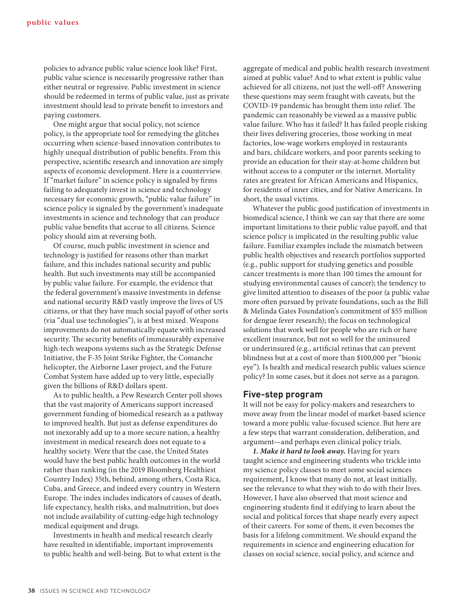policies to advance public value science look like? First, public value science is necessarily progressive rather than either neutral or regressive. Public investment in science should be redeemed in terms of public value, just as private investment should lead to private benefit to investors and paying customers.

One might argue that social policy, not science policy, is the appropriate tool for remedying the glitches occurring when science-based innovation contributes to highly unequal distribution of public benefits. From this perspective, scientific research and innovation are simply aspects of economic development. Here is a counterview. If "market failure" in science policy is signaled by firms failing to adequately invest in science and technology necessary for economic growth, "public value failure" in science policy is signaled by the government's inadequate investments in science and technology that can produce public value benefits that accrue to all citizens. Science policy should aim at reversing both.

Of course, much public investment in science and technology is justified for reasons other than market failure, and this includes national security and public health. But such investments may still be accompanied by public value failure. For example, the evidence that the federal government's massive investments in defense and national security R&D vastly improve the lives of US citizens, or that they have much social payoff of other sorts (via "dual use technologies"), is at best mixed. Weapons improvements do not automatically equate with increased security. The security benefits of immeasurably expensive high-tech weapons systems such as the Strategic Defense Initiative, the F-35 Joint Strike Fighter, the Comanche helicopter, the Airborne Laser project, and the Future Combat System have added up to very little, especially given the billions of R&D dollars spent.

As to public health, a Pew Research Center poll shows that the vast majority of Americans support increased government funding of biomedical research as a pathway to improved health. But just as defense expenditures do not inexorably add up to a more secure nation, a healthy investment in medical research does not equate to a healthy society. Were that the case, the United States would have the best public health outcomes in the world rather than ranking (in the 2019 Bloomberg Healthiest Country Index) 35th, behind, among others, Costa Rica, Cuba, and Greece, and indeed every country in Western Europe. The index includes indicators of causes of death, life expectancy, health risks, and malnutrition, but does not include availability of cutting-edge high technology medical equipment and drugs.

Investments in health and medical research clearly have resulted in identifiable, important improvements to public health and well-being. But to what extent is the aggregate of medical and public health research investment aimed at public value? And to what extent is public value achieved for all citizens, not just the well-off? Answering these questions may seem fraught with caveats, but the COVID-19 pandemic has brought them into relief. The pandemic can reasonably be viewed as a massive public value failure. Who has it failed? It has failed people risking their lives delivering groceries, those working in meat factories, low-wage workers employed in restaurants and bars, childcare workers, and poor parents seeking to provide an education for their stay-at-home children but without access to a computer or the internet. Mortality rates are greatest for African Americans and Hispanics, for residents of inner cities, and for Native Americans. In short, the usual victims.

Whatever the public good justification of investments in biomedical science, I think we can say that there are some important limitations to their public value payoff, and that science policy is implicated in the resulting public value failure. Familiar examples include the mismatch between public health objectives and research portfolios supported (e.g., public support for studying genetics and possible cancer treatments is more than 100 times the amount for studying environmental causes of cancer); the tendency to give limited attention to diseases of the poor (a public value more often pursued by private foundations, such as the Bill & Melinda Gates Foundation's commitment of \$55 million for dengue fever research); the focus on technological solutions that work well for people who are rich or have excellent insurance, but not so well for the uninsured or underinsured (e.g., artificial retinas that can prevent blindness but at a cost of more than \$100,000 per "bionic eye"). Is health and medical research public values science policy? In some cases, but it does not serve as a paragon.

#### **Five-step program**

It will not be easy for policy-makers and researchers to move away from the linear model of market-based science toward a more public value-focused science. But here are a few steps that warrant consideration, deliberation, and argument—and perhaps even clinical policy trials.

*1. Make it hard to look away.* Having for years taught science and engineering students who trickle into my science policy classes to meet some social sciences requirement, I know that many do not, at least initially, see the relevance to what they wish to do with their lives. However, I have also observed that most science and engineering students find it edifying to learn about the social and political forces that shape nearly every aspect of their careers. For some of them, it even becomes the basis for a lifelong commitment. We should expand the requirements in science and engineering education for classes on social science, social policy, and science and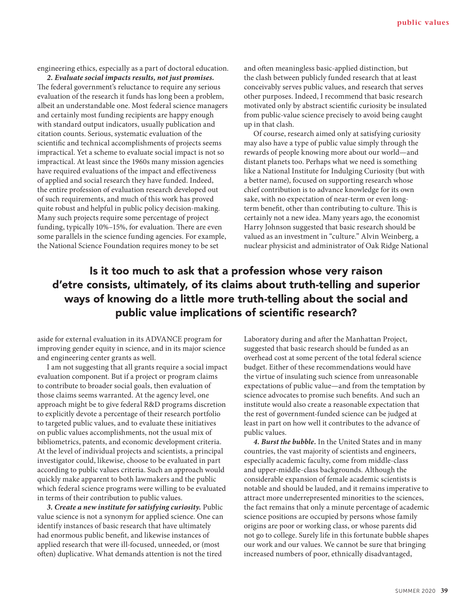engineering ethics, especially as a part of doctoral education.

*2. Evaluate social impacts results, not just promises.* The federal government's reluctance to require any serious evaluation of the research it funds has long been a problem, albeit an understandable one. Most federal science managers and certainly most funding recipients are happy enough with standard output indicators, usually publication and citation counts. Serious, systematic evaluation of the scientific and technical accomplishments of projects seems impractical. Yet a scheme to evaluate social impact is not so impractical. At least since the 1960s many mission agencies have required evaluations of the impact and effectiveness of applied and social research they have funded. Indeed, the entire profession of evaluation research developed out of such requirements, and much of this work has proved quite robust and helpful in public policy decision-making. Many such projects require some percentage of project funding, typically 10%–15%, for evaluation. There are even some parallels in the science funding agencies. For example, the National Science Foundation requires money to be set

and often meaningless basic-applied distinction, but the clash between publicly funded research that at least conceivably serves public values, and research that serves other purposes. Indeed, I recommend that basic research motivated only by abstract scientific curiosity be insulated from public-value science precisely to avoid being caught up in that clash.

Of course, research aimed only at satisfying curiosity may also have a type of public value simply through the rewards of people knowing more about our world—and distant planets too. Perhaps what we need is something like a National Institute for Indulging Curiosity (but with a better name), focused on supporting research whose chief contribution is to advance knowledge for its own sake, with no expectation of near-term or even longterm benefit, other than contributing to culture. This is certainly not a new idea. Many years ago, the economist Harry Johnson suggested that basic research should be valued as an investment in "culture." Alvin Weinberg, a nuclear physicist and administrator of Oak Ridge National

## Is it too much to ask that a profession whose very raison d'etre consists, ultimately, of its claims about truth-telling and superior ways of knowing do a little more truth-telling about the social and public value implications of scientific research?

aside for external evaluation in its ADVANCE program for improving gender equity in science, and in its major science and engineering center grants as well.

I am not suggesting that all grants require a social impact evaluation component. But if a project or program claims to contribute to broader social goals, then evaluation of those claims seems warranted. At the agency level, one approach might be to give federal R&D programs discretion to explicitly devote a percentage of their research portfolio to targeted public values, and to evaluate these initiatives on public values accomplishments, not the usual mix of bibliometrics, patents, and economic development criteria. At the level of individual projects and scientists, a principal investigator could, likewise, choose to be evaluated in part according to public values criteria. Such an approach would quickly make apparent to both lawmakers and the public which federal science programs were willing to be evaluated in terms of their contribution to public values.

*3. Create a new institute for satisfying curiosity.* Public value science is not a synonym for applied science. One can identify instances of basic research that have ultimately had enormous public benefit, and likewise instances of applied research that were ill-focused, unneeded, or (most often) duplicative. What demands attention is not the tired

Laboratory during and after the Manhattan Project, suggested that basic research should be funded as an overhead cost at some percent of the total federal science budget. Either of these recommendations would have the virtue of insulating such science from unreasonable expectations of public value—and from the temptation by science advocates to promise such benefits. And such an institute would also create a reasonable expectation that the rest of government-funded science can be judged at least in part on how well it contributes to the advance of public values.

*4. Burst the bubble.* In the United States and in many countries, the vast majority of scientists and engineers, especially academic faculty, come from middle-class and upper-middle-class backgrounds. Although the considerable expansion of female academic scientists is notable and should be lauded, and it remains imperative to attract more underrepresented minorities to the sciences, the fact remains that only a minute percentage of academic science positions are occupied by persons whose family origins are poor or working class, or whose parents did not go to college. Surely life in this fortunate bubble shapes our work and our values. We cannot be sure that bringing increased numbers of poor, ethnically disadvantaged,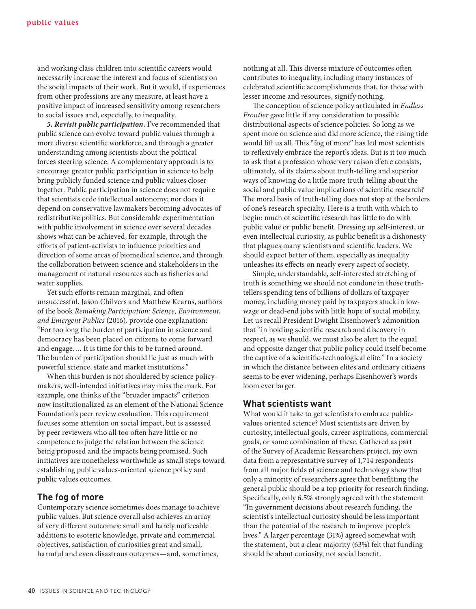and working class children into scientific careers would necessarily increase the interest and focus of scientists on the social impacts of their work. But it would, if experiences from other professions are any measure, at least have a positive impact of increased sensitivity among researchers to social issues and, especially, to inequality.

*5. Revisit public participation.* I've recommended that public science can evolve toward public values through a more diverse scientific workforce, and through a greater understanding among scientists about the political forces steering science. A complementary approach is to encourage greater public participation in science to help bring publicly funded science and public values closer together. Public participation in science does not require that scientists cede intellectual autonomy; nor does it depend on conservative lawmakers becoming advocates of redistributive politics. But considerable experimentation with public involvement in science over several decades shows what can be achieved, for example, through the efforts of patient-activists to influence priorities and direction of some areas of biomedical science, and through the collaboration between science and stakeholders in the management of natural resources such as fisheries and water supplies.

Yet such efforts remain marginal, and often unsuccessful. Jason Chilvers and Matthew Kearns, authors of the book *Remaking Participation: Science, Environment, and Emergent Publics* (2016)*,* provide one explanation: "For too long the burden of participation in science and democracy has been placed on citizens to come forward and engage…. It is time for this to be turned around. The burden of participation should lie just as much with powerful science, state and market institutions."

When this burden is not shouldered by science policymakers, well-intended initiatives may miss the mark. For example, one thinks of the "broader impacts" criterion now institutionalized as an element of the National Science Foundation's peer review evaluation. This requirement focuses some attention on social impact, but is assessed by peer reviewers who all too often have little or no competence to judge the relation between the science being proposed and the impacts being promised. Such initiatives are nonetheless worthwhile as small steps toward establishing public values-oriented science policy and public values outcomes.

#### **The fog of more**

Contemporary science sometimes does manage to achieve public values. But science overall also achieves an array of very different outcomes: small and barely noticeable additions to esoteric knowledge, private and commercial objectives, satisfaction of curiosities great and small, harmful and even disastrous outcomes—and, sometimes,

nothing at all. This diverse mixture of outcomes often contributes to inequality, including many instances of celebrated scientific accomplishments that, for those with lesser income and resources, signify nothing.

The conception of science policy articulated in *Endless Frontier* gave little if any consideration to possible distributional aspects of science policies. So long as we spent more on science and did more science, the rising tide would lift us all. This "fog of more" has led most scientists to reflexively embrace the report's ideas. But is it too much to ask that a profession whose very raison d'etre consists, ultimately, of its claims about truth-telling and superior ways of knowing do a little more truth-telling about the social and public value implications of scientific research? The moral basis of truth-telling does not stop at the borders of one's research specialty. Here is a truth with which to begin: much of scientific research has little to do with public value or public benefit. Dressing up self-interest, or even intellectual curiosity, as public benefit is a dishonesty that plagues many scientists and scientific leaders. We should expect better of them, especially as inequality unleashes its effects on nearly every aspect of society.

Simple, understandable, self-interested stretching of truth is something we should not condone in those truthtellers spending tens of billions of dollars of taxpayer money, including money paid by taxpayers stuck in lowwage or dead-end jobs with little hope of social mobility. Let us recall President Dwight Eisenhower's admonition that "in holding scientific research and discovery in respect, as we should, we must also be alert to the equal and opposite danger that public policy could itself become the captive of a scientific-technological elite." In a society in which the distance between elites and ordinary citizens seems to be ever widening, perhaps Eisenhower's words loom ever larger.

#### **What scientists want**

What would it take to get scientists to embrace publicvalues oriented science? Most scientists are driven by curiosity, intellectual goals, career aspirations, commercial goals, or some combination of these. Gathered as part of the Survey of Academic Researchers project, my own data from a representative survey of 1,714 respondents from all major fields of science and technology show that only a minority of researchers agree that benefitting the general public should be a top priority for research finding. Specifically, only 6.5% strongly agreed with the statement "In government decisions about research funding, the scientist's intellectual curiosity should be less important than the potential of the research to improve people's lives." A larger percentage (31%) agreed somewhat with the statement, but a clear majority (63%) felt that funding should be about curiosity, not social benefit.